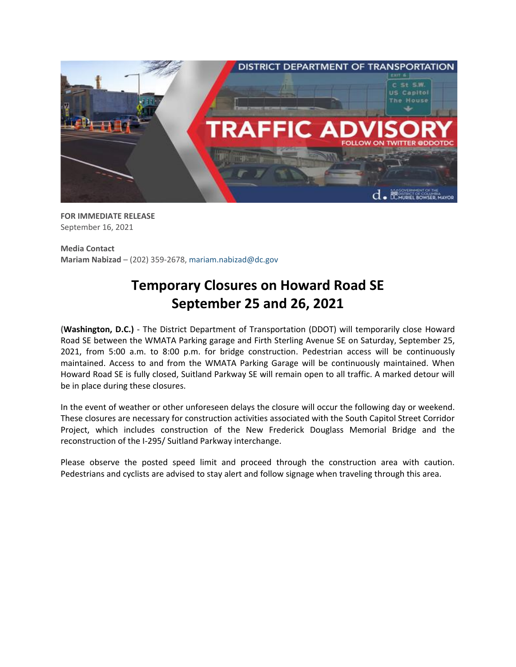

**FOR IMMEDIATE RELEASE** September 16, 2021

**Media Contact Mariam Nabizad** – (202) 359-2678, [mariam.nabizad@dc.gov](mailto:mariam.nabizad@dc.gov)

## **Temporary Closures on Howard Road SE September 25 and 26, 2021**

**(Washington, D.C.)** - The District Department of Transportation (DDOT) will temporarily close Howard Road SE between the WMATA Parking garage and Firth Sterling Avenue SE on Saturday, September 25, 2021, from 5:00 a.m. to 8:00 p.m. for bridge construction. Pedestrian access will be continuously maintained. Access to and from the WMATA Parking Garage will be continuously maintained. When Howard Road SE is fully closed, Suitland Parkway SE will remain open to all traffic. A marked detour will be in place during these closures.

In the event of weather or other unforeseen delays the closure will occur the following day or weekend. These closures are necessary for construction activities associated with the South Capitol Street Corridor Project, which includes construction of the New Frederick Douglass Memorial Bridge and the reconstruction of the I-295/ Suitland Parkway interchange.

Please observe the posted speed limit and proceed through the construction area with caution. Pedestrians and cyclists are advised to stay alert and follow signage when traveling through this area.